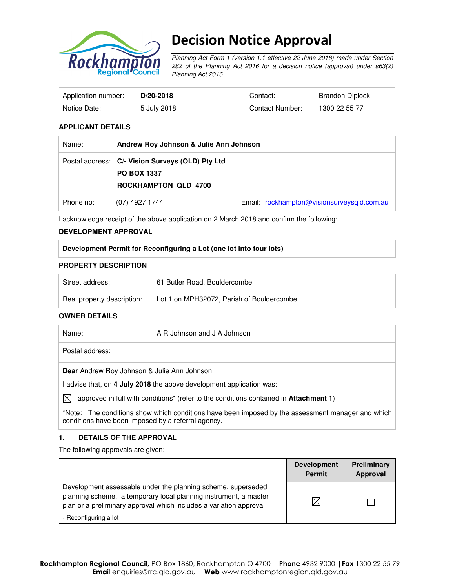

# Decision Notice Approval

Planning Act Form 1 (version 1.1 effective 22 June 2018) made under Section 282 of the Planning Act 2016 for a decision notice (approval) under s63(2) Planning Act 2016

| Application number: | $D/20-2018$ | Contact:        | Brandon Diplock |
|---------------------|-------------|-----------------|-----------------|
| Notice Date:        | 5 July 2018 | Contact Number: | 1300 22 55 77   |

## **APPLICANT DETAILS**

| Name:     | Andrew Roy Johnson & Julie Ann Johnson                                                                |                                            |  |
|-----------|-------------------------------------------------------------------------------------------------------|--------------------------------------------|--|
|           | Postal address: C/- Vision Surveys (QLD) Pty Ltd<br><b>PO BOX 1337</b><br><b>ROCKHAMPTON QLD 4700</b> |                                            |  |
| Phone no: | (07) 4927 1744                                                                                        | Email: rockhampton@visionsurveysgld.com.au |  |

I acknowledge receipt of the above application on 2 March 2018 and confirm the following:

#### **DEVELOPMENT APPROVAL**

#### **Development Permit for Reconfiguring a Lot (one lot into four lots)**

#### **PROPERTY DESCRIPTION**

| Street address:            | 61 Butler Road, Bouldercombe              |
|----------------------------|-------------------------------------------|
| Real property description: | Lot 1 on MPH32072, Parish of Bouldercombe |

#### **OWNER DETAILS**

| Name:     |                                                    | A R Johnson and J A Johnson                                                                              |
|-----------|----------------------------------------------------|----------------------------------------------------------------------------------------------------------|
|           | Postal address:                                    |                                                                                                          |
|           | <b>Dear</b> Andrew Roy Johnson & Julie Ann Johnson |                                                                                                          |
|           |                                                    | I advise that, on 4 July 2018 the above development application was:                                     |
| $\bowtie$ |                                                    | approved in full with conditions <sup>*</sup> (refer to the conditions contained in <b>Attachment 1)</b> |
|           |                                                    | *Note: The conditions show which conditions have been imposed by the assessment manager and which        |

## **1. DETAILS OF THE APPROVAL**

conditions have been imposed by a referral agency.

The following approvals are given:

|                                                                                                                                                                                                        | <b>Development</b><br><b>Permit</b> | Preliminary<br>Approval |
|--------------------------------------------------------------------------------------------------------------------------------------------------------------------------------------------------------|-------------------------------------|-------------------------|
| Development assessable under the planning scheme, superseded<br>planning scheme, a temporary local planning instrument, a master<br>plan or a preliminary approval which includes a variation approval |                                     |                         |
| - Reconfiguring a lot                                                                                                                                                                                  |                                     |                         |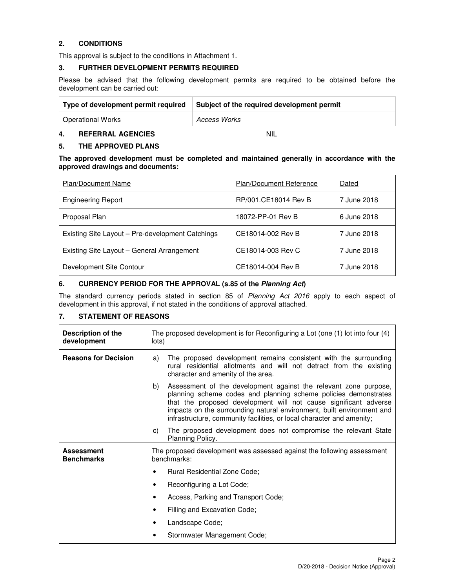## **2. CONDITIONS**

This approval is subject to the conditions in Attachment 1.

## **3. FURTHER DEVELOPMENT PERMITS REQUIRED**

Please be advised that the following development permits are required to be obtained before the development can be carried out:

| Type of development permit required | Subject of the required development permit |
|-------------------------------------|--------------------------------------------|
| <b>Operational Works</b>            | Access Works                               |

## **4. REFERRAL AGENCIES** NIL

## **5. THE APPROVED PLANS**

**The approved development must be completed and maintained generally in accordance with the approved drawings and documents:** 

| <b>Plan/Document Name</b>                        | <b>Plan/Document Reference</b> | Dated       |
|--------------------------------------------------|--------------------------------|-------------|
| <b>Engineering Report</b>                        | RP/001.CE18014 Rev B           | 7 June 2018 |
| Proposal Plan                                    | 18072-PP-01 Rev B              | 6 June 2018 |
| Existing Site Layout – Pre-development Catchings | CE18014-002 Rev B              | 7 June 2018 |
| Existing Site Layout – General Arrangement       | CE18014-003 Rev C              | 7 June 2018 |
| Development Site Contour                         | CE18014-004 Rev B              | 7 June 2018 |

#### **6. CURRENCY PERIOD FOR THE APPROVAL (s.85 of the Planning Act)**

The standard currency periods stated in section 85 of Planning Act 2016 apply to each aspect of development in this approval, if not stated in the conditions of approval attached.

## **7. STATEMENT OF REASONS**

| Description of the<br>development      | The proposed development is for Reconfiguring a Lot (one (1) lot into four (4)<br>lots)                                                                                                                                                                                                                                                                         |  |
|----------------------------------------|-----------------------------------------------------------------------------------------------------------------------------------------------------------------------------------------------------------------------------------------------------------------------------------------------------------------------------------------------------------------|--|
| <b>Reasons for Decision</b>            | The proposed development remains consistent with the surrounding<br>a)<br>rural residential allotments and will not detract from the existing<br>character and amenity of the area.                                                                                                                                                                             |  |
|                                        | b)<br>Assessment of the development against the relevant zone purpose,<br>planning scheme codes and planning scheme policies demonstrates<br>that the proposed development will not cause significant adverse<br>impacts on the surrounding natural environment, built environment and<br>infrastructure, community facilities, or local character and amenity; |  |
|                                        | The proposed development does not compromise the relevant State<br>C)<br>Planning Policy.                                                                                                                                                                                                                                                                       |  |
| <b>Assessment</b><br><b>Benchmarks</b> | The proposed development was assessed against the following assessment<br>benchmarks:                                                                                                                                                                                                                                                                           |  |
|                                        | <b>Rural Residential Zone Code:</b><br>٠                                                                                                                                                                                                                                                                                                                        |  |
|                                        | Reconfiguring a Lot Code;<br>٠                                                                                                                                                                                                                                                                                                                                  |  |
|                                        | Access, Parking and Transport Code;<br>٠                                                                                                                                                                                                                                                                                                                        |  |
|                                        | Filling and Excavation Code;<br>٠                                                                                                                                                                                                                                                                                                                               |  |
|                                        | Landscape Code;<br>٠                                                                                                                                                                                                                                                                                                                                            |  |
|                                        | Stormwater Management Code;<br>٠                                                                                                                                                                                                                                                                                                                                |  |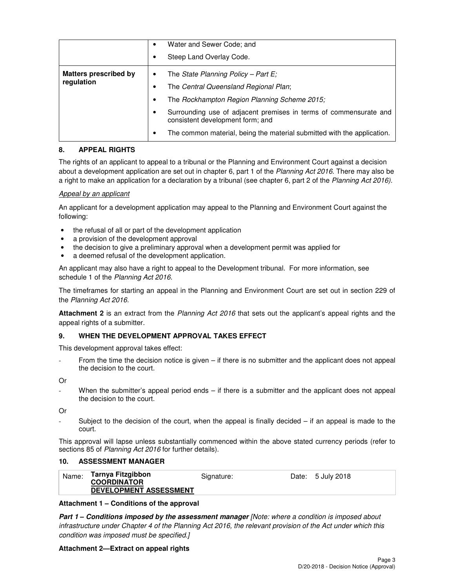|                                            |   | Water and Sewer Code; and<br>Steep Land Overlay Code.                                                                                                                                                                                                                                                            |
|--------------------------------------------|---|------------------------------------------------------------------------------------------------------------------------------------------------------------------------------------------------------------------------------------------------------------------------------------------------------------------|
| <b>Matters prescribed by</b><br>regulation | ٠ | The State Planning Policy – Part E;<br>The Central Queensland Regional Plan;<br>The Rockhampton Region Planning Scheme 2015;<br>Surrounding use of adjacent premises in terms of commensurate and<br>consistent development form; and<br>The common material, being the material submitted with the application. |

## **8. APPEAL RIGHTS**

The rights of an applicant to appeal to a tribunal or the Planning and Environment Court against a decision about a development application are set out in chapter 6, part 1 of the Planning Act 2016. There may also be a right to make an application for a declaration by a tribunal (see chapter 6, part 2 of the Planning Act 2016).

## Appeal by an applicant

An applicant for a development application may appeal to the Planning and Environment Court against the following:

- the refusal of all or part of the development application
- a provision of the development approval
- the decision to give a preliminary approval when a development permit was applied for
- a deemed refusal of the development application.

An applicant may also have a right to appeal to the Development tribunal. For more information, see schedule 1 of the Planning Act 2016.

The timeframes for starting an appeal in the Planning and Environment Court are set out in section 229 of the Planning Act 2016.

**Attachment 2** is an extract from the Planning Act 2016 that sets out the applicant's appeal rights and the appeal rights of a submitter.

## **9. WHEN THE DEVELOPMENT APPROVAL TAKES EFFECT**

This development approval takes effect:

From the time the decision notice is given – if there is no submitter and the applicant does not appeal the decision to the court.

Or

When the submitter's appeal period ends – if there is a submitter and the applicant does not appeal the decision to the court.

Or

Subject to the decision of the court, when the appeal is finally decided  $-$  if an appeal is made to the court.

This approval will lapse unless substantially commenced within the above stated currency periods (refer to sections 85 of Planning Act 2016 for further details).

## **10. ASSESSMENT MANAGER**

| Name: | Tarnya Fitzgibbon<br><b>COORDINATOR</b> | Signature: | Date: 5 July 2018 |
|-------|-----------------------------------------|------------|-------------------|
|       | <b>DEVELOPMENT ASSESSMENT</b>           |            |                   |

## **Attachment 1 – Conditions of the approval**

**Part 1 – Conditions imposed by the assessment manager** *[Note: where a condition is imposed about* infrastructure under Chapter 4 of the Planning Act 2016, the relevant provision of the Act under which this condition was imposed must be specified.]

## **Attachment 2—Extract on appeal rights**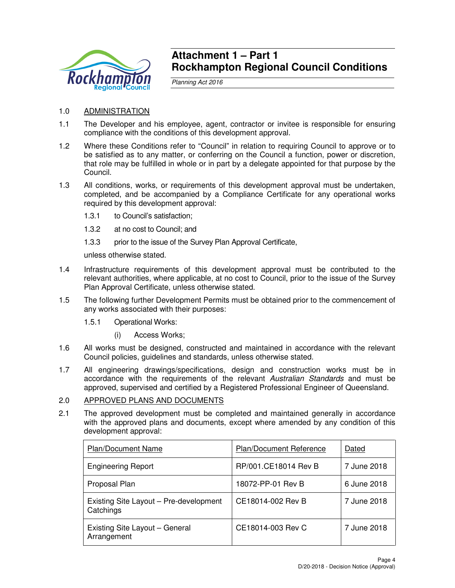

## **Attachment 1 – Part 1 Rockhampton Regional Council Conditions**

Planning Act 2016

- 1.0 ADMINISTRATION
- 1.1 The Developer and his employee, agent, contractor or invitee is responsible for ensuring compliance with the conditions of this development approval.
- 1.2 Where these Conditions refer to "Council" in relation to requiring Council to approve or to be satisfied as to any matter, or conferring on the Council a function, power or discretion, that role may be fulfilled in whole or in part by a delegate appointed for that purpose by the Council.
- 1.3 All conditions, works, or requirements of this development approval must be undertaken, completed, and be accompanied by a Compliance Certificate for any operational works required by this development approval:
	- 1.3.1 to Council's satisfaction;
	- 1.3.2 at no cost to Council; and
	- 1.3.3 prior to the issue of the Survey Plan Approval Certificate,

unless otherwise stated.

- 1.4 Infrastructure requirements of this development approval must be contributed to the relevant authorities, where applicable, at no cost to Council, prior to the issue of the Survey Plan Approval Certificate, unless otherwise stated.
- 1.5 The following further Development Permits must be obtained prior to the commencement of any works associated with their purposes:
	- 1.5.1 Operational Works:
		- (i) Access Works;
- 1.6 All works must be designed, constructed and maintained in accordance with the relevant Council policies, guidelines and standards, unless otherwise stated.
- 1.7 All engineering drawings/specifications, design and construction works must be in accordance with the requirements of the relevant Australian Standards and must be approved, supervised and certified by a Registered Professional Engineer of Queensland.

## 2.0 APPROVED PLANS AND DOCUMENTS

2.1 The approved development must be completed and maintained generally in accordance with the approved plans and documents, except where amended by any condition of this development approval:

| Plan/Document Name                                  | Plan/Document Reference | Dated       |
|-----------------------------------------------------|-------------------------|-------------|
| <b>Engineering Report</b>                           | RP/001.CE18014 Rev B    | 7 June 2018 |
| Proposal Plan                                       | 18072-PP-01 Rev B       | 6 June 2018 |
| Existing Site Layout - Pre-development<br>Catchings | CE18014-002 Rev B       | 7 June 2018 |
| Existing Site Layout - General<br>Arrangement       | CE18014-003 Rev C       | 7 June 2018 |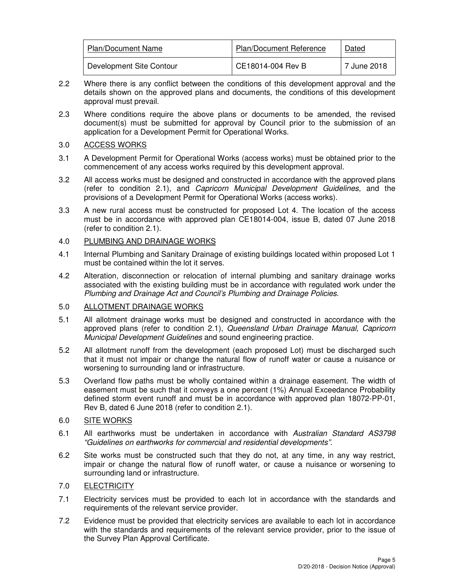| <b>Plan/Document Name</b> | <b>Plan/Document Reference</b> | Dated       |
|---------------------------|--------------------------------|-------------|
| Development Site Contour  | CE18014-004 Rev B              | 7 June 2018 |

- 2.2 Where there is any conflict between the conditions of this development approval and the details shown on the approved plans and documents, the conditions of this development approval must prevail.
- 2.3 Where conditions require the above plans or documents to be amended, the revised document(s) must be submitted for approval by Council prior to the submission of an application for a Development Permit for Operational Works.

## 3.0 ACCESS WORKS

- 3.1 A Development Permit for Operational Works (access works) must be obtained prior to the commencement of any access works required by this development approval.
- 3.2 All access works must be designed and constructed in accordance with the approved plans (refer to condition 2.1), and Capricorn Municipal Development Guidelines, and the provisions of a Development Permit for Operational Works (access works).
- 3.3 A new rural access must be constructed for proposed Lot 4. The location of the access must be in accordance with approved plan CE18014-004, issue B, dated 07 June 2018 (refer to condition 2.1).

## 4.0 PLUMBING AND DRAINAGE WORKS

- 4.1 Internal Plumbing and Sanitary Drainage of existing buildings located within proposed Lot 1 must be contained within the lot it serves.
- 4.2 Alteration, disconnection or relocation of internal plumbing and sanitary drainage works associated with the existing building must be in accordance with regulated work under the Plumbing and Drainage Act and Council's Plumbing and Drainage Policies.

## 5.0 ALLOTMENT DRAINAGE WORKS

- 5.1 All allotment drainage works must be designed and constructed in accordance with the approved plans (refer to condition 2.1), Queensland Urban Drainage Manual, Capricorn Municipal Development Guidelines and sound engineering practice.
- 5.2 All allotment runoff from the development (each proposed Lot) must be discharged such that it must not impair or change the natural flow of runoff water or cause a nuisance or worsening to surrounding land or infrastructure.
- 5.3 Overland flow paths must be wholly contained within a drainage easement. The width of easement must be such that it conveys a one percent (1%) Annual Exceedance Probability defined storm event runoff and must be in accordance with approved plan 18072-PP-01, Rev B, dated 6 June 2018 (refer to condition 2.1).

## 6.0 SITE WORKS

- 6.1 All earthworks must be undertaken in accordance with Australian Standard AS3798 "Guidelines on earthworks for commercial and residential developments".
- 6.2 Site works must be constructed such that they do not, at any time, in any way restrict, impair or change the natural flow of runoff water, or cause a nuisance or worsening to surrounding land or infrastructure.

## 7.0 ELECTRICITY

- 7.1 Electricity services must be provided to each lot in accordance with the standards and requirements of the relevant service provider.
- 7.2 Evidence must be provided that electricity services are available to each lot in accordance with the standards and requirements of the relevant service provider, prior to the issue of the Survey Plan Approval Certificate.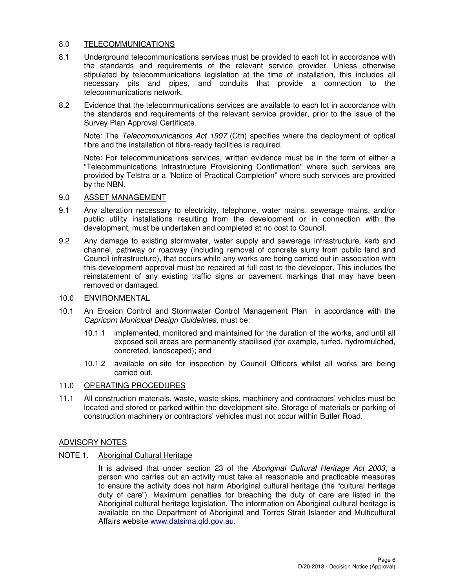## 8.0 TELECOMMUNICATIONS

- 8.1 Underground telecommunications services must be provided to each lot in accordance with the standards and requirements of the relevant service provider. Unless otherwise stipulated by telecommunications legislation at the time of installation, this includes all necessary pits and pipes, and conduits that provide a connection to the telecommunications network.
- 8.2 Evidence that the telecommunications services are available to each lot in accordance with the standards and requirements of the relevant service provider, prior to the issue of the Survey Plan Approval Certificate.

Note: The Telecommunications Act 1997 (Cth) specifies where the deployment of optical fibre and the installation of fibre-ready facilities is required.

Note: For telecommunications services, written evidence must be in the form of either a "Telecommunications Infrastructure Provisioning Confirmation" where such services are provided by Telstra or a "Notice of Practical Completion" where such services are provided by the NBN.

## 9.0 ASSET MANAGEMENT

- 9.1 Any alteration necessary to electricity, telephone, water mains, sewerage mains, and/or public utility installations resulting from the development or in connection with the development, must be undertaken and completed at no cost to Council.
- 9.2 Any damage to existing stormwater, water supply and sewerage infrastructure, kerb and channel, pathway or roadway (including removal of concrete slurry from public land and Council infrastructure), that occurs while any works are being carried out in association with this development approval must be repaired at full cost to the developer. This includes the reinstatement of any existing traffic signs or pavement markings that may have been removed or damaged.

## 10.0 ENVIRONMENTAL

- 10.1 An Erosion Control and Stormwater Control Management Plan in accordance with the Capricorn Municipal Design Guidelines, must be:
	- 10.1.1 implemented, monitored and maintained for the duration of the works, and until all exposed soil areas are permanently stabilised (for example, turfed, hydromulched, concreted, landscaped); and
	- 10.1.2 available on-site for inspection by Council Officers whilst all works are being carried out.

## 11.0 OPERATING PROCEDURES

11.1 All construction materials, waste, waste skips, machinery and contractors' vehicles must be located and stored or parked within the development site. Storage of materials or parking of construction machinery or contractors' vehicles must not occur within Butler Road.

## ADVISORY NOTES

NOTE 1. Aboriginal Cultural Heritage

It is advised that under section 23 of the Aboriginal Cultural Heritage Act 2003, a person who carries out an activity must take all reasonable and practicable measures to ensure the activity does not harm Aboriginal cultural heritage (the "cultural heritage duty of care"). Maximum penalties for breaching the duty of care are listed in the Aboriginal cultural heritage legislation. The information on Aboriginal cultural heritage is available on the Department of Aboriginal and Torres Strait Islander and Multicultural Affairs website www.datsima.qld.gov.au.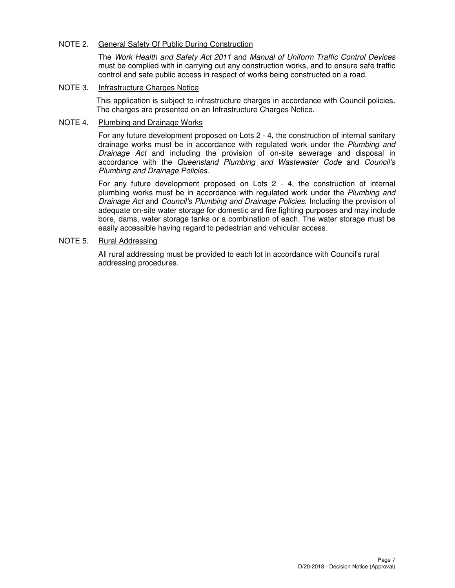## NOTE 2. General Safety Of Public During Construction

The Work Health and Safety Act 2011 and Manual of Uniform Traffic Control Devices must be complied with in carrying out any construction works, and to ensure safe traffic control and safe public access in respect of works being constructed on a road.

## NOTE 3. Infrastructure Charges Notice

This application is subject to infrastructure charges in accordance with Council policies. The charges are presented on an Infrastructure Charges Notice.

## NOTE 4. Plumbing and Drainage Works

For any future development proposed on Lots 2 - 4, the construction of internal sanitary drainage works must be in accordance with regulated work under the Plumbing and Drainage Act and including the provision of on-site sewerage and disposal in accordance with the Queensland Plumbing and Wastewater Code and Council's Plumbing and Drainage Policies.

For any future development proposed on Lots 2 - 4, the construction of internal plumbing works must be in accordance with regulated work under the Plumbing and Drainage Act and Council's Plumbing and Drainage Policies. Including the provision of adequate on-site water storage for domestic and fire fighting purposes and may include bore, dams, water storage tanks or a combination of each. The water storage must be easily accessible having regard to pedestrian and vehicular access.

## NOTE 5. Rural Addressing

All rural addressing must be provided to each lot in accordance with Council's rural addressing procedures.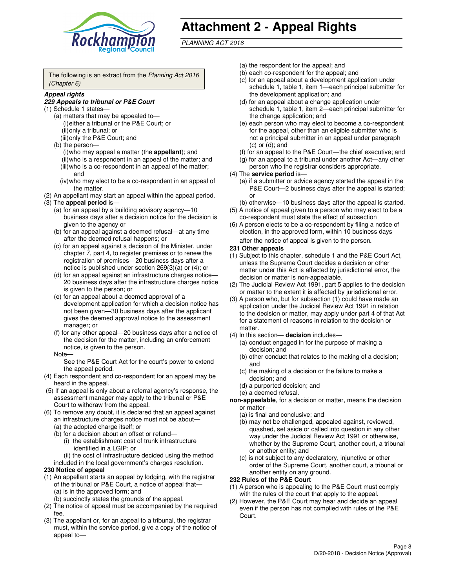

# **Attachment 2 - Appeal Rights**

PLANNING ACT 2016

The following is an extract from the Planning Act 2016 (Chapter 6)

#### **Appeal rights**

#### **229 Appeals to tribunal or P&E Court**

- (1) Schedule 1 states—
	- (a) matters that may be appealed to— (i) either a tribunal or the P&E Court; or (ii) only a tribunal; or (iii) only the P&E Court; and
	- (b) the person—
		- (i) who may appeal a matter (the **appellant**); and
		- (ii) who is a respondent in an appeal of the matter; and (iii) who is a co-respondent in an appeal of the matter; and
		- (iv) who may elect to be a co-respondent in an appeal of the matter.
- (2) An appellant may start an appeal within the appeal period.
- (3) The **appeal period** is—
	- (a) for an appeal by a building advisory agency—10 business days after a decision notice for the decision is given to the agency or
	- (b) for an appeal against a deemed refusal—at any time after the deemed refusal happens; or
	- (c) for an appeal against a decision of the Minister, under chapter 7, part 4, to register premises or to renew the registration of premises—20 business days after a notice is published under section 269(3)(a) or (4); or
	- (d) for an appeal against an infrastructure charges notice— 20 business days after the infrastructure charges notice is given to the person; or
	- (e) for an appeal about a deemed approval of a development application for which a decision notice has not been given—30 business days after the applicant gives the deemed approval notice to the assessment manager; or
	- (f) for any other appeal—20 business days after a notice of the decision for the matter, including an enforcement notice, is given to the person.
	- Note—

See the P&E Court Act for the court's power to extend the appeal period.

- (4) Each respondent and co-respondent for an appeal may be heard in the appeal.
- (5) If an appeal is only about a referral agency's response, the assessment manager may apply to the tribunal or P&E Court to withdraw from the appeal.
- (6) To remove any doubt, it is declared that an appeal against an infrastructure charges notice must not be about—
	- (a) the adopted charge itself; or
	- (b) for a decision about an offset or refund—
		- (i) the establishment cost of trunk infrastructure identified in a LGIP; or
		- (ii) the cost of infrastructure decided using the method
- included in the local government's charges resolution. **230 Notice of appeal**
- (1) An appellant starts an appeal by lodging, with the registrar of the tribunal or P&E Court, a notice of appeal that—
	- (a) is in the approved form; and
	- (b) succinctly states the grounds of the appeal.
- (2) The notice of appeal must be accompanied by the required fee.
- (3) The appellant or, for an appeal to a tribunal, the registrar must, within the service period, give a copy of the notice of appeal to—
- (a) the respondent for the appeal; and
- (b) each co-respondent for the appeal; and
- (c) for an appeal about a development application under schedule 1, table 1, item 1—each principal submitter for the development application; and
- (d) for an appeal about a change application under schedule 1, table 1, item 2—each principal submitter for the change application; and
- (e) each person who may elect to become a co-respondent for the appeal, other than an eligible submitter who is not a principal submitter in an appeal under paragraph  $(c)$  or  $(d)$ ; and
- (f) for an appeal to the P&E Court—the chief executive; and
- (g) for an appeal to a tribunal under another Act—any other person who the registrar considers appropriate.
- (4) The **service period** is—
	- (a) if a submitter or advice agency started the appeal in the P&E Court—2 business days after the appeal is started; or
	- (b) otherwise—10 business days after the appeal is started.
- (5) A notice of appeal given to a person who may elect to be a co-respondent must state the effect of subsection
- (6) A person elects to be a co-respondent by filing a notice of election, in the approved form, within 10 business days after the notice of appeal is given to the person*.*
- **231 Other appeals**
- (1) Subject to this chapter, schedule 1 and the P&E Court Act, unless the Supreme Court decides a decision or other matter under this Act is affected by jurisdictional error, the decision or matter is non-appealable.
- (2) The Judicial Review Act 1991, part 5 applies to the decision or matter to the extent it is affected by jurisdictional error.
- (3) A person who, but for subsection (1) could have made an application under the Judicial Review Act 1991 in relation to the decision or matter, may apply under part 4 of that Act for a statement of reasons in relation to the decision or matter.
- (4) In this section— **decision** includes—
	- (a) conduct engaged in for the purpose of making a decision; and
	- (b) other conduct that relates to the making of a decision; and
	- (c) the making of a decision or the failure to make a decision; and
	- (d) a purported decision; and
	- (e) a deemed refusal.

**non-appealable**, for a decision or matter, means the decision or matter—

- (a) is final and conclusive; and
- (b) may not be challenged, appealed against, reviewed, quashed, set aside or called into question in any other way under the Judicial Review Act 1991 or otherwise, whether by the Supreme Court, another court, a tribunal or another entity; and
- (c) is not subject to any declaratory, injunctive or other order of the Supreme Court, another court, a tribunal or another entity on any ground.

#### **232 Rules of the P&E Court**

- (1) A person who is appealing to the P&E Court must comply with the rules of the court that apply to the appeal.
- (2) However, the P&E Court may hear and decide an appeal even if the person has not complied with rules of the P&E Court.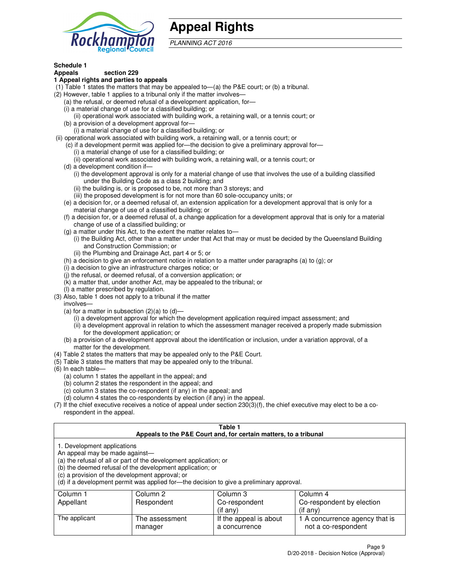

## **Appeal Rights**

PLANNING ACT 2016

## **Schedule 1**

## **Appeals section 229**

#### **1 Appeal rights and parties to appeals**

- (1) Table 1 states the matters that may be appealed to—(a) the P&E court; or (b) a tribunal.
- (2) However, table 1 applies to a tribunal only if the matter involves—
	- (a) the refusal, or deemed refusal of a development application, for—
	- (i) a material change of use for a classified building; or
	- (ii) operational work associated with building work, a retaining wall, or a tennis court; or
	- (b) a provision of a development approval for—
	- (i) a material change of use for a classified building; or
- (ii) operational work associated with building work, a retaining wall, or a tennis court; or
	- (c) if a development permit was applied for—the decision to give a preliminary approval for—
		- (i) a material change of use for a classified building; or
		- (ii) operational work associated with building work, a retaining wall, or a tennis court; or
	- (d) a development condition if—
		- (i) the development approval is only for a material change of use that involves the use of a building classified under the Building Code as a class 2 building; and
		- (ii) the building is, or is proposed to be, not more than 3 storeys; and
		- (iii) the proposed development is for not more than 60 sole-occupancy units; or
	- (e) a decision for, or a deemed refusal of, an extension application for a development approval that is only for a material change of use of a classified building; or
	- (f) a decision for, or a deemed refusal of, a change application for a development approval that is only for a material change of use of a classified building; or
	- (g) a matter under this Act, to the extent the matter relates to—
		- (i) the Building Act, other than a matter under that Act that may or must be decided by the Queensland Building and Construction Commission; or
		- (ii) the Plumbing and Drainage Act, part 4 or 5; or
	- (h) a decision to give an enforcement notice in relation to a matter under paragraphs (a) to (g); or
	- (i) a decision to give an infrastructure charges notice; or
	- (j) the refusal, or deemed refusal, of a conversion application; or
	- (k) a matter that, under another Act, may be appealed to the tribunal; or
	- (l) a matter prescribed by regulation.
- (3) Also, table 1 does not apply to a tribunal if the matter
	- involves—
	- (a) for a matter in subsection  $(2)(a)$  to  $(d)$ 
		- (i) a development approval for which the development application required impact assessment; and
		- (ii) a development approval in relation to which the assessment manager received a properly made submission for the development application; or
	- (b) a provision of a development approval about the identification or inclusion, under a variation approval, of a matter for the development.
- (4) Table 2 states the matters that may be appealed only to the P&E Court.
- (5) Table 3 states the matters that may be appealed only to the tribunal.
- (6) In each table—
	- (a) column 1 states the appellant in the appeal; and
	- (b) column 2 states the respondent in the appeal; and
	- (c) column 3 states the co-respondent (if any) in the appeal; and
	- (d) column 4 states the co-respondents by election (if any) in the appeal.
- $(7)$  If the chief executive receives a notice of appeal under section  $230(3)(f)$ , the chief executive may elect to be a corespondent in the appeal.

| Table 1<br>Appeals to the P&E Court and, for certain matters, to a tribunal                                                                                                                                                                                                                                                                    |                                  |                                         |                                                       |  |  |  |
|------------------------------------------------------------------------------------------------------------------------------------------------------------------------------------------------------------------------------------------------------------------------------------------------------------------------------------------------|----------------------------------|-----------------------------------------|-------------------------------------------------------|--|--|--|
| 1. Development applications<br>An appeal may be made against-<br>(a) the refusal of all or part of the development application; or<br>(b) the deemed refusal of the development application; or<br>(c) a provision of the development approval; or<br>(d) if a development permit was applied for—the decision to give a preliminary approval. |                                  |                                         |                                                       |  |  |  |
| Column 1                                                                                                                                                                                                                                                                                                                                       | Column 3<br>Column 4<br>Column 2 |                                         |                                                       |  |  |  |
| Appellant                                                                                                                                                                                                                                                                                                                                      | Respondent                       | Co-respondent                           | Co-respondent by election                             |  |  |  |
| (if any)<br>$($ if any $)$                                                                                                                                                                                                                                                                                                                     |                                  |                                         |                                                       |  |  |  |
| The applicant                                                                                                                                                                                                                                                                                                                                  | The assessment<br>manager        | If the appeal is about<br>a concurrence | 1 A concurrence agency that is<br>not a co-respondent |  |  |  |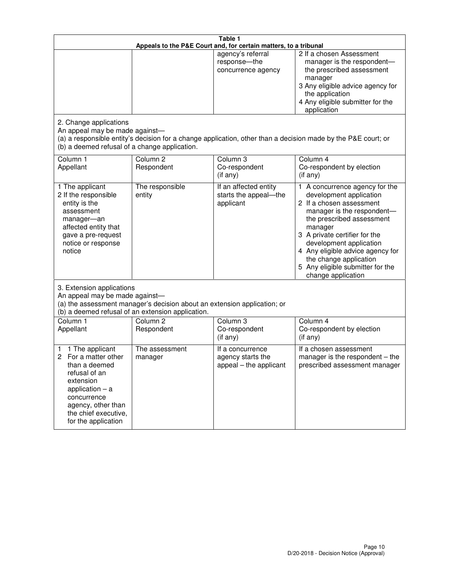|                                                                                                                                                                                                         | Table 1<br>Appeals to the P&E Court and, for certain matters, to a tribunal |                                                                 |                                                                                                                                                                                                                                                                                                                                                 |  |  |
|---------------------------------------------------------------------------------------------------------------------------------------------------------------------------------------------------------|-----------------------------------------------------------------------------|-----------------------------------------------------------------|-------------------------------------------------------------------------------------------------------------------------------------------------------------------------------------------------------------------------------------------------------------------------------------------------------------------------------------------------|--|--|
|                                                                                                                                                                                                         |                                                                             | agency's referral<br>response-the<br>concurrence agency         | 2 If a chosen Assessment<br>manager is the respondent-<br>the prescribed assessment<br>manager<br>3 Any eligible advice agency for<br>the application<br>4 Any eligible submitter for the<br>application                                                                                                                                        |  |  |
| 2. Change applications<br>An appeal may be made against-<br>(b) a deemed refusal of a change application.                                                                                               |                                                                             |                                                                 | (a) a responsible entity's decision for a change application, other than a decision made by the P&E court; or                                                                                                                                                                                                                                   |  |  |
| Column 1<br>Appellant                                                                                                                                                                                   | Column <sub>2</sub><br>Respondent                                           | Column <sub>3</sub><br>Co-respondent<br>(if any)                | Column 4<br>Co-respondent by election<br>(if any)                                                                                                                                                                                                                                                                                               |  |  |
| 1 The applicant<br>2 If the responsible<br>entity is the<br>assessment<br>manager-an<br>affected entity that<br>gave a pre-request<br>notice or response<br>notice                                      | The responsible<br>entity                                                   | If an affected entity<br>starts the appeal-the<br>applicant     | 1 A concurrence agency for the<br>development application<br>2 If a chosen assessment<br>manager is the respondent-<br>the prescribed assessment<br>manager<br>3 A private certifier for the<br>development application<br>4 Any eligible advice agency for<br>the change application<br>5 Any eligible submitter for the<br>change application |  |  |
| 3. Extension applications<br>An appeal may be made against-<br>(a) the assessment manager's decision about an extension application; or<br>(b) a deemed refusal of an extension application.            |                                                                             |                                                                 |                                                                                                                                                                                                                                                                                                                                                 |  |  |
| Column 1<br>Appellant                                                                                                                                                                                   | Column <sub>2</sub><br>Respondent                                           | Column 3<br>Co-respondent<br>(if any)                           | Column 4<br>Co-respondent by election<br>(if any)                                                                                                                                                                                                                                                                                               |  |  |
| 1 The applicant<br>1<br>For a matter other<br>2<br>than a deemed<br>refusal of an<br>extension<br>application $-$ a<br>concurrence<br>agency, other than<br>the chief executive,<br>for the application | The assessment<br>manager                                                   | If a concurrence<br>agency starts the<br>appeal - the applicant | If a chosen assessment<br>manager is the respondent – the<br>prescribed assessment manager                                                                                                                                                                                                                                                      |  |  |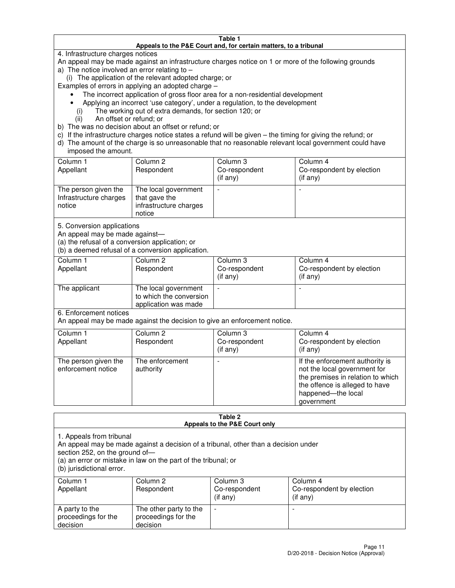#### **Table 1 Appeals to the P&E Court and, for certain matters, to a tribunal**

4. Infrastructure charges notices

An appeal may be made against an infrastructure charges notice on 1 or more of the following grounds

- a) The notice involved an error relating to  $-$ 
	- (i) The application of the relevant adopted charge; or

Examples of errors in applying an adopted charge –

- The incorrect application of gross floor area for a non-residential development
- Applying an incorrect 'use category', under a regulation, to the development
	- (i) The working out of extra demands, for section 120; or
	- (ii) An offset or refund; or
- b) The was no decision about an offset or refund; or
- c) If the infrastructure charges notice states a refund will be given the timing for giving the refund; or
- d) The amount of the charge is so unreasonable that no reasonable relevant local government could have imposed the amount.

| Column 1<br>Appellant                                    | Column 2<br>Respondent                                                    | Column 3<br>Co-respondent<br>$($ if any $)$ | Column 4<br>Co-respondent by election<br>$($ if any $)$ |
|----------------------------------------------------------|---------------------------------------------------------------------------|---------------------------------------------|---------------------------------------------------------|
| The person given the<br>Infrastructure charges<br>notice | The local government<br>that gave the<br>infrastructure charges<br>notice |                                             |                                                         |

5. Conversion applications

An appeal may be made against—

(a) the refusal of a conversion application; or

(b) a deemed refusal of a conversion application.

| Column 1<br>Appellant | Column 2<br>Respondent                                                  | Column 3<br>Co-respondent<br>$($ if any $)$ | Column 4<br>Co-respondent by election<br>$($ if any $)$ |
|-----------------------|-------------------------------------------------------------------------|---------------------------------------------|---------------------------------------------------------|
| The applicant         | The local government<br>to which the conversion<br>application was made |                                             |                                                         |

6. Enforcement notices

An appeal may be made against the decision to give an enforcement notice.

| Column 1<br>Appellant                      | Column 2<br>Respondent       | Column 3<br>Co-respondent<br>$($ if any $)$ | Column 4<br>Co-respondent by election<br>(if any)                                                                                                                          |
|--------------------------------------------|------------------------------|---------------------------------------------|----------------------------------------------------------------------------------------------------------------------------------------------------------------------------|
| The person given the<br>enforcement notice | The enforcement<br>authority |                                             | If the enforcement authority is<br>not the local government for<br>the premises in relation to which<br>the offence is alleged to have<br>happened-the local<br>government |

#### **Table 2 Appeals to the P&E Court only**

1. Appeals from tribunal

An appeal may be made against a decision of a tribunal, other than a decision under

section 252, on the ground of—

(a) an error or mistake in law on the part of the tribunal; or

(b) jurisdictional error.

| Column 1<br>Appellant                             | Column 2<br>Respondent                                    | Column 3<br>Co-respondent<br>(if any) | Column 4<br>Co-respondent by election<br>(if any) |
|---------------------------------------------------|-----------------------------------------------------------|---------------------------------------|---------------------------------------------------|
| A party to the<br>proceedings for the<br>decision | The other party to the<br>proceedings for the<br>decision | $\overline{\phantom{a}}$              |                                                   |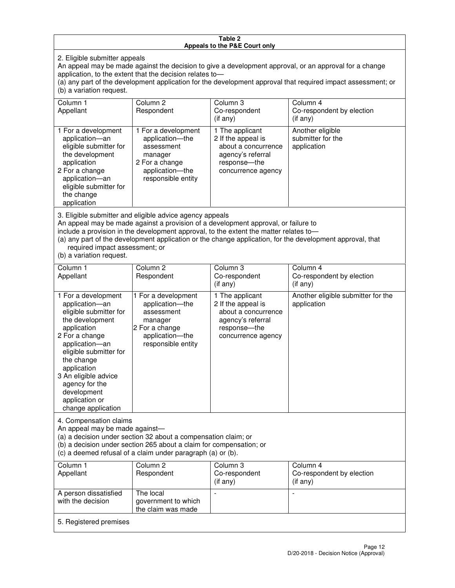#### **Table 2 Appeals to the P&E Court only**

2. Eligible submitter appeals

An appeal may be made against the decision to give a development approval, or an approval for a change application, to the extent that the decision relates to—

(a) any part of the development application for the development approval that required impact assessment; or (b) a variation request.

| Column 1<br>Appellant                                                                                                                                                                                                                                                                                                                                                                                              | Column <sub>2</sub><br>Respondent                                                                                          | Column <sub>3</sub><br>Co-respondent<br>$(i$ f any)                                                                     | Column 4<br>Co-respondent by election<br>(i f an y)  |
|--------------------------------------------------------------------------------------------------------------------------------------------------------------------------------------------------------------------------------------------------------------------------------------------------------------------------------------------------------------------------------------------------------------------|----------------------------------------------------------------------------------------------------------------------------|-------------------------------------------------------------------------------------------------------------------------|------------------------------------------------------|
| 1 For a development<br>application-an<br>eligible submitter for<br>the development<br>application<br>2 For a change<br>application-an<br>eligible submitter for<br>the change<br>application                                                                                                                                                                                                                       | 1 For a development<br>application-the<br>assessment<br>manager<br>2 For a change<br>application-the<br>responsible entity | 1 The applicant<br>2 If the appeal is<br>about a concurrence<br>agency's referral<br>response-the<br>concurrence agency | Another eligible<br>submitter for the<br>application |
| 3. Eligible submitter and eligible advice agency appeals<br>An appeal may be made against a provision of a development approval, or failure to<br>include a provision in the development approval, to the extent the matter relates to-<br>(a) any part of the development application or the change application, for the development approval, that<br>required impact assessment; or<br>(b) a variation request. |                                                                                                                            |                                                                                                                         |                                                      |
| Column <sub>1</sub><br>Appellant                                                                                                                                                                                                                                                                                                                                                                                   | Column <sub>2</sub><br>Respondent                                                                                          | Column 3<br>Co-respondent<br>(if any)                                                                                   | Column 4<br>Co-respondent by election<br>(if any)    |
| 1 For a development<br>application-an<br>eligible submitter for<br>the development<br>application                                                                                                                                                                                                                                                                                                                  | 1 For a development<br>application-the<br>assessment<br>manager<br>2 For a change                                          | 1 The applicant<br>2 If the appeal is<br>about a concurrence<br>agency's referral<br>response---the                     | Another eligible submitter for the<br>application    |

concurrence agency

4. Compensation claims An appeal may be made against—

2 For a change application—an eligible submitter for

the change application 3 An eligible advice agency for the development application or change application

(a) a decision under section 32 about a compensation claim; or

(b) a decision under section 265 about a claim for compensation; or

application—the responsible entity

(c) a deemed refusal of a claim under paragraph (a) or (b).

| Column 1<br>Appellant                      | Column 2<br>Respondent                                 | Column 3<br>Co-respondent<br>(if any) | Column 4<br>Co-respondent by election<br>$($ if any $)$ |  |
|--------------------------------------------|--------------------------------------------------------|---------------------------------------|---------------------------------------------------------|--|
| A person dissatisfied<br>with the decision | The local<br>government to which<br>the claim was made | -                                     |                                                         |  |
| 5. Registered premises                     |                                                        |                                       |                                                         |  |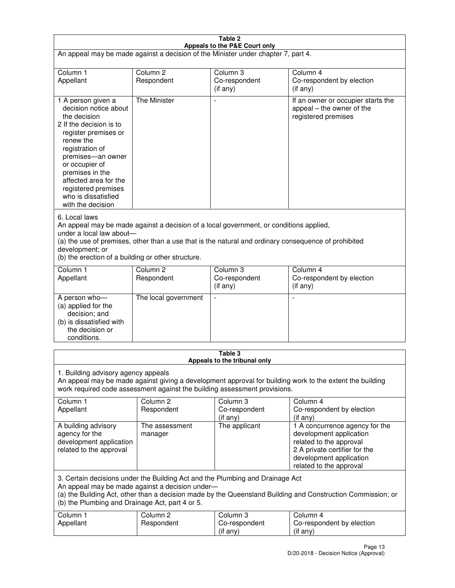| Table 2                                                                                                                                                                                                                                                                                              |                                                                                                                                                                                                                                                                                  |                                         |                                                                                                                                                                             |  |  |
|------------------------------------------------------------------------------------------------------------------------------------------------------------------------------------------------------------------------------------------------------------------------------------------------------|----------------------------------------------------------------------------------------------------------------------------------------------------------------------------------------------------------------------------------------------------------------------------------|-----------------------------------------|-----------------------------------------------------------------------------------------------------------------------------------------------------------------------------|--|--|
| Appeals to the P&E Court only<br>An appeal may be made against a decision of the Minister under chapter 7, part 4.                                                                                                                                                                                   |                                                                                                                                                                                                                                                                                  |                                         |                                                                                                                                                                             |  |  |
| Column 1                                                                                                                                                                                                                                                                                             | Column <sub>2</sub>                                                                                                                                                                                                                                                              | Column <sub>3</sub>                     | Column 4                                                                                                                                                                    |  |  |
| Appellant                                                                                                                                                                                                                                                                                            | Respondent                                                                                                                                                                                                                                                                       | Co-respondent<br>(if any)               | Co-respondent by election<br>(if any)                                                                                                                                       |  |  |
| 1 A person given a<br>decision notice about<br>the decision<br>2 If the decision is to<br>register premises or<br>renew the<br>registration of<br>premises-an owner<br>or occupier of<br>premises in the<br>affected area for the<br>registered premises<br>who is dissatisfied<br>with the decision | <b>The Minister</b>                                                                                                                                                                                                                                                              | ÷,                                      | If an owner or occupier starts the<br>appeal – the owner of the<br>registered premises                                                                                      |  |  |
| 6. Local laws<br>development; or                                                                                                                                                                                                                                                                     | An appeal may be made against a decision of a local government, or conditions applied,<br>under a local law about-<br>(a) the use of premises, other than a use that is the natural and ordinary consequence of prohibited<br>(b) the erection of a building or other structure. |                                         |                                                                                                                                                                             |  |  |
| Column 1<br>Appellant                                                                                                                                                                                                                                                                                | Column <sub>2</sub><br>Respondent                                                                                                                                                                                                                                                | Column 3<br>Co-respondent<br>(if any)   | Column 4<br>Co-respondent by election<br>(if any)                                                                                                                           |  |  |
| A person who-<br>(a) applied for the<br>decision; and<br>(b) is dissatisfied with<br>the decision or<br>conditions.                                                                                                                                                                                  | The local government                                                                                                                                                                                                                                                             |                                         |                                                                                                                                                                             |  |  |
|                                                                                                                                                                                                                                                                                                      |                                                                                                                                                                                                                                                                                  | Table 3<br>Appeals to the tribunal only |                                                                                                                                                                             |  |  |
| 1. Building advisory agency appeals<br>An appeal may be made against giving a development approval for building work to the extent the building<br>work required code assessment against the building assessment provisions.                                                                         |                                                                                                                                                                                                                                                                                  |                                         |                                                                                                                                                                             |  |  |
| Column 1<br>Appellant                                                                                                                                                                                                                                                                                | Column <sub>2</sub><br>Respondent                                                                                                                                                                                                                                                | Column 3<br>Co-respondent<br>(if any)   | Column 4<br>Co-respondent by election<br>(if any)                                                                                                                           |  |  |
| A building advisory<br>agency for the<br>development application<br>related to the approval                                                                                                                                                                                                          | The assessment<br>manager                                                                                                                                                                                                                                                        | The applicant                           | 1 A concurrence agency for the<br>development application<br>related to the approval<br>2 A private certifier for the<br>development application<br>related to the approval |  |  |
| 3. Certain decisions under the Building Act and the Plumbing and Drainage Act<br>An appeal may be made against a decision under-<br>(a) the Building Act, other than a decision made by the Queensland Building and Construction Commission; or<br>(b) the Plumbing and Drainage Act, part 4 or 5.   |                                                                                                                                                                                                                                                                                  |                                         |                                                                                                                                                                             |  |  |
| Column 1<br>Appellant                                                                                                                                                                                                                                                                                | Column <sub>2</sub><br>Respondent                                                                                                                                                                                                                                                | Column 3<br>Co-respondent<br>(if any)   | Column 4<br>Co-respondent by election<br>(if any)                                                                                                                           |  |  |